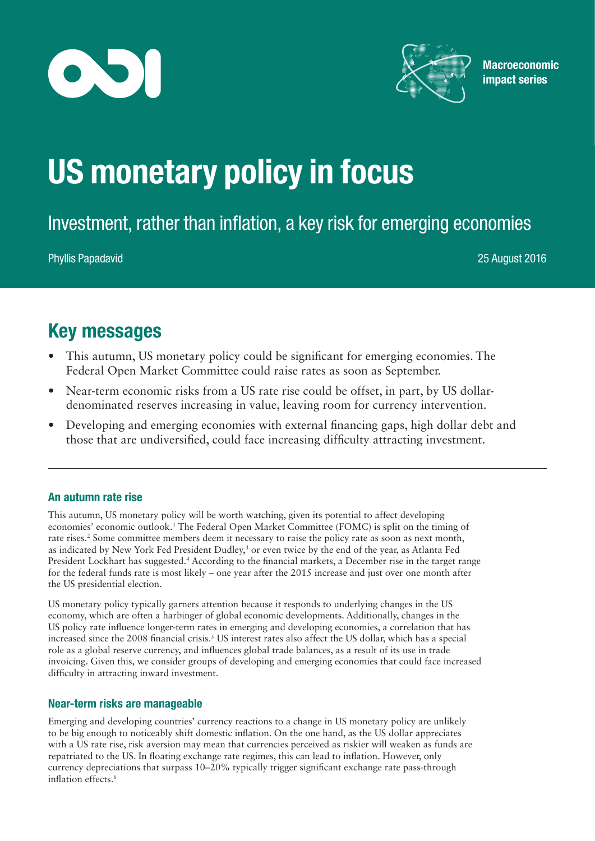



**Macroeconomic** impact series

# US monetary policy in focus

Investment, rather than inflation, a key risk for emerging economies

Phyllis Papadavid 25 August 2016

# Key messages

- This autumn, US monetary policy could be significant for emerging economies. The Federal Open Market Committee could raise rates as soon as September.
- Near-term economic risks from a US rate rise could be offset, in part, by US dollardenominated reserves increasing in value, leaving room for currency intervention.
- Developing and emerging economies with external financing gaps, high dollar debt and those that are undiversified, could face increasing difficulty attracting investment.

## An autumn rate rise

This autumn, US monetary policy will be worth watching, given its potential to affect developing economies' economic outlook.1 The Federal Open Market Committee (FOMC) is split on the timing of rate rises.<sup>2</sup> Some committee members deem it necessary to raise the policy rate as soon as next month, as indicated by New York Fed President Dudley,<sup>3</sup> or even twice by the end of the year, as Atlanta Fed President Lockhart has suggested.<sup>4</sup> According to the financial markets, a December rise in the target range for the federal funds rate is most likely – one year after the 2015 increase and just over one month after the US presidential election.

US monetary policy typically garners attention because it responds to underlying changes in the US economy, which are often a harbinger of global economic developments. Additionally, changes in the US policy rate influence longer-term rates in emerging and developing economies, a correlation that has increased since the 2008 financial crisis.5 US interest rates also affect the US dollar, which has a special role as a global reserve currency, and influences global trade balances, as a result of its use in trade invoicing. Given this, we consider groups of developing and emerging economies that could face increased difficulty in attracting inward investment.

## Near-term risks are manageable

Emerging and developing countries' currency reactions to a change in US monetary policy are unlikely to be big enough to noticeably shift domestic inflation. On the one hand, as the US dollar appreciates with a US rate rise, risk aversion may mean that currencies perceived as riskier will weaken as funds are repatriated to the US. In floating exchange rate regimes, this can lead to inflation. However, only currency depreciations that surpass 10–20% typically trigger significant exchange rate pass-through inflation effects.<sup>6</sup>